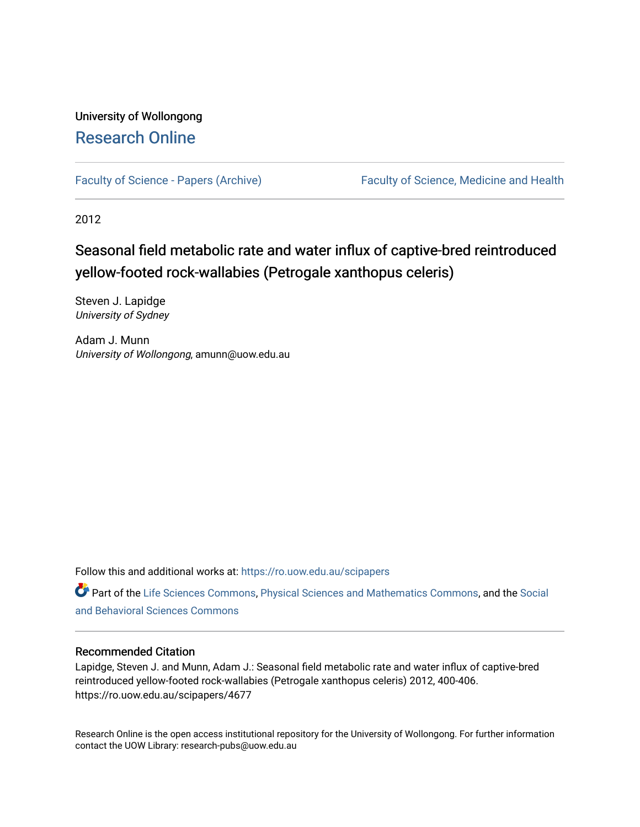# University of Wollongong [Research Online](https://ro.uow.edu.au/)

[Faculty of Science - Papers \(Archive\)](https://ro.uow.edu.au/scipapers) Faculty of Science, Medicine and Health

2012

# Seasonal field metabolic rate and water influx of captive-bred reintroduced yellow-footed rock-wallabies (Petrogale xanthopus celeris)

Steven J. Lapidge University of Sydney

Adam J. Munn University of Wollongong, amunn@uow.edu.au

Follow this and additional works at: [https://ro.uow.edu.au/scipapers](https://ro.uow.edu.au/scipapers?utm_source=ro.uow.edu.au%2Fscipapers%2F4677&utm_medium=PDF&utm_campaign=PDFCoverPages)

Part of the [Life Sciences Commons,](http://network.bepress.com/hgg/discipline/1016?utm_source=ro.uow.edu.au%2Fscipapers%2F4677&utm_medium=PDF&utm_campaign=PDFCoverPages) [Physical Sciences and Mathematics Commons,](http://network.bepress.com/hgg/discipline/114?utm_source=ro.uow.edu.au%2Fscipapers%2F4677&utm_medium=PDF&utm_campaign=PDFCoverPages) and the [Social](http://network.bepress.com/hgg/discipline/316?utm_source=ro.uow.edu.au%2Fscipapers%2F4677&utm_medium=PDF&utm_campaign=PDFCoverPages)  [and Behavioral Sciences Commons](http://network.bepress.com/hgg/discipline/316?utm_source=ro.uow.edu.au%2Fscipapers%2F4677&utm_medium=PDF&utm_campaign=PDFCoverPages) 

# Recommended Citation

Lapidge, Steven J. and Munn, Adam J.: Seasonal field metabolic rate and water influx of captive-bred reintroduced yellow-footed rock-wallabies (Petrogale xanthopus celeris) 2012, 400-406. https://ro.uow.edu.au/scipapers/4677

Research Online is the open access institutional repository for the University of Wollongong. For further information contact the UOW Library: research-pubs@uow.edu.au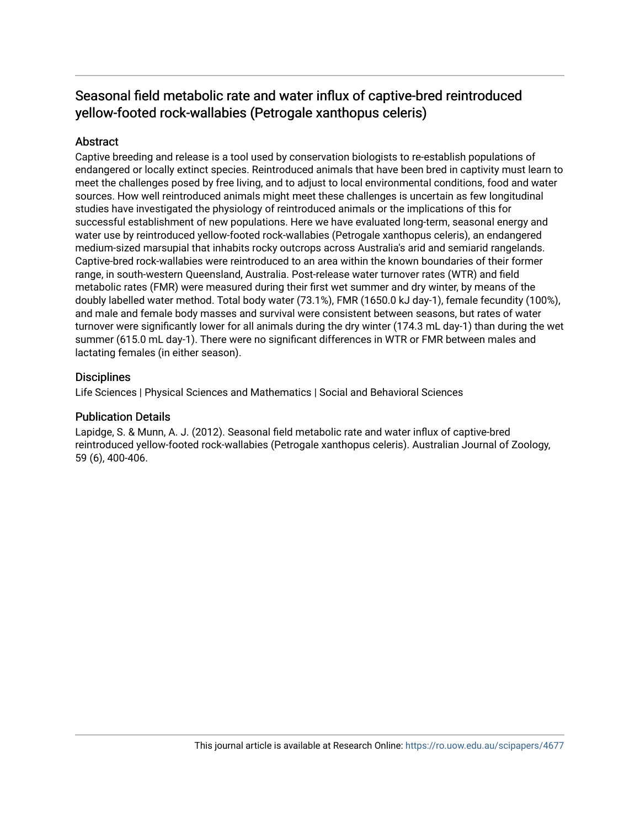# Seasonal field metabolic rate and water influx of captive-bred reintroduced yellow-footed rock-wallabies (Petrogale xanthopus celeris)

# Abstract

Captive breeding and release is a tool used by conservation biologists to re-establish populations of endangered or locally extinct species. Reintroduced animals that have been bred in captivity must learn to meet the challenges posed by free living, and to adjust to local environmental conditions, food and water sources. How well reintroduced animals might meet these challenges is uncertain as few longitudinal studies have investigated the physiology of reintroduced animals or the implications of this for successful establishment of new populations. Here we have evaluated long-term, seasonal energy and water use by reintroduced yellow-footed rock-wallabies (Petrogale xanthopus celeris), an endangered medium-sized marsupial that inhabits rocky outcrops across Australia's arid and semiarid rangelands. Captive-bred rock-wallabies were reintroduced to an area within the known boundaries of their former range, in south-western Queensland, Australia. Post-release water turnover rates (WTR) and field metabolic rates (FMR) were measured during their first wet summer and dry winter, by means of the doubly labelled water method. Total body water (73.1%), FMR (1650.0 kJ day-1), female fecundity (100%), and male and female body masses and survival were consistent between seasons, but rates of water turnover were significantly lower for all animals during the dry winter (174.3 mL day-1) than during the wet summer (615.0 mL day-1). There were no significant differences in WTR or FMR between males and lactating females (in either season).

# **Disciplines**

Life Sciences | Physical Sciences and Mathematics | Social and Behavioral Sciences

# Publication Details

Lapidge, S. & Munn, A. J. (2012). Seasonal field metabolic rate and water influx of captive-bred reintroduced yellow-footed rock-wallabies (Petrogale xanthopus celeris). Australian Journal of Zoology, 59 (6), 400-406.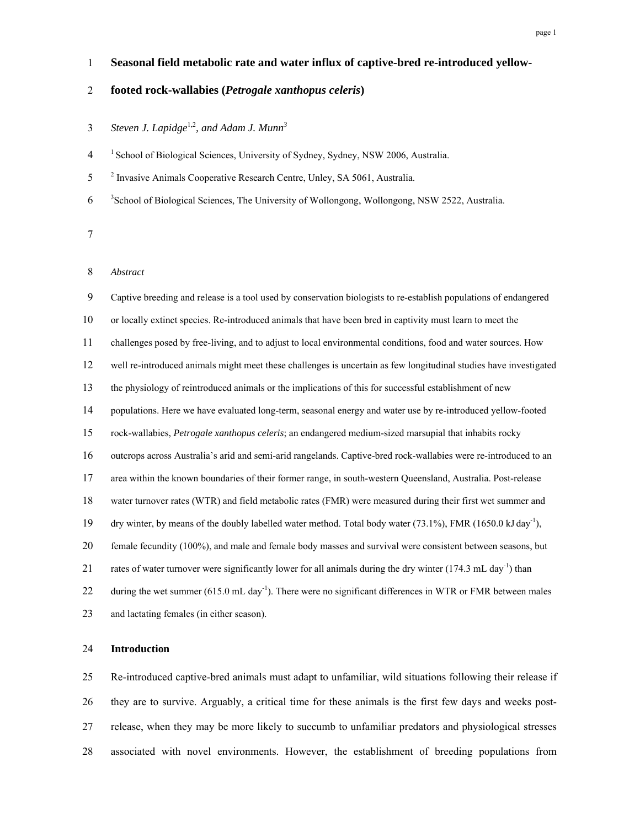## 1 **Seasonal field metabolic rate and water influx of captive-bred re-introduced yellow-**

## 2 **footed rock-wallabies (***Petrogale xanthopus celeris***)**

# *Steven J. Lapidge*1,2*, and Adam J. Munn<sup>3</sup>* 3

<sup>1</sup> School of Biological Sciences, University of Sydney, Sydney, NSW 2006, Australia.

<sup>2</sup> Invasive Animals Cooperative Research Centre, Unley, SA 5061, Australia.

6 <sup>3</sup> School of Biological Sciences, The University of Wollongong, Wollongong, NSW 2522, Australia.

## 8 *Abstract*

9 Captive breeding and release is a tool used by conservation biologists to re-establish populations of endangered 10 or locally extinct species. Re-introduced animals that have been bred in captivity must learn to meet the 11 challenges posed by free-living, and to adjust to local environmental conditions, food and water sources. How 12 well re-introduced animals might meet these challenges is uncertain as few longitudinal studies have investigated 13 the physiology of reintroduced animals or the implications of this for successful establishment of new 14 populations. Here we have evaluated long-term, seasonal energy and water use by re-introduced yellow-footed 15 rock-wallabies, *Petrogale xanthopus celeris*; an endangered medium-sized marsupial that inhabits rocky 16 outcrops across Australia's arid and semi-arid rangelands. Captive-bred rock-wallabies were re-introduced to an 17 area within the known boundaries of their former range, in south-western Queensland, Australia. Post-release 18 water turnover rates (WTR) and field metabolic rates (FMR) were measured during their first wet summer and 19 dry winter, by means of the doubly labelled water method. Total body water (73.1%), FMR (1650.0 kJ day<sup>-1</sup>), 20 female fecundity (100%), and male and female body masses and survival were consistent between seasons, but 21 rates of water turnover were significantly lower for all animals during the dry winter (174.3 mL day<sup>-1</sup>) than 22 during the wet summer  $(615.0 \text{ mL day}^{-1})$ . There were no significant differences in WTR or FMR between males 23 and lactating females (in either season).

### 24 **Introduction**

25 Re-introduced captive-bred animals must adapt to unfamiliar, wild situations following their release if 26 they are to survive. Arguably, a critical time for these animals is the first few days and weeks post-27 release, when they may be more likely to succumb to unfamiliar predators and physiological stresses 28 associated with novel environments. However, the establishment of breeding populations from

<sup>7</sup>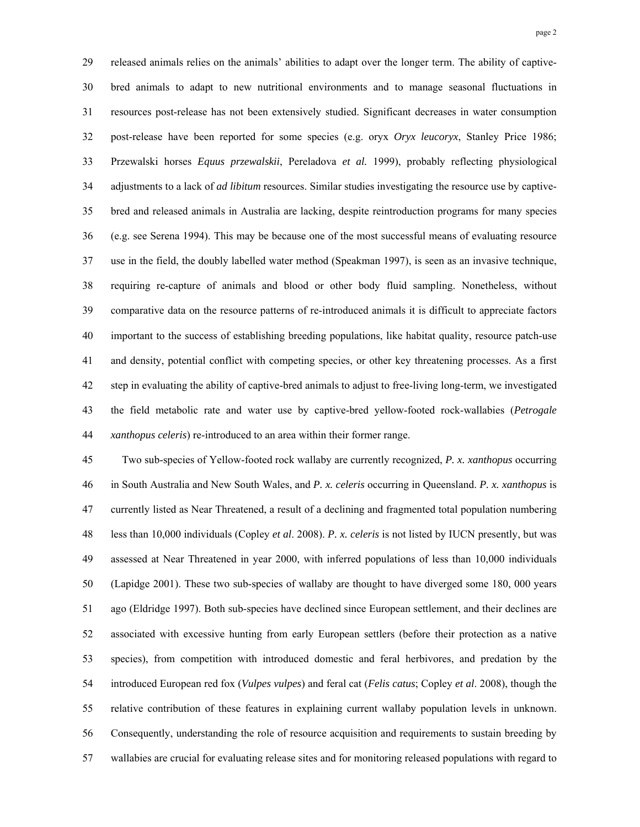29 released animals relies on the animals' abilities to adapt over the longer term. The ability of captive-30 bred animals to adapt to new nutritional environments and to manage seasonal fluctuations in 31 resources post-release has not been extensively studied. Significant decreases in water consumption 32 post-release have been reported for some species (e.g. oryx *Oryx leucoryx*, Stanley Price 1986; 33 Przewalski horses *Equus przewalskii*, Pereladova *et al.* 1999), probably reflecting physiological 34 adjustments to a lack of *ad libitum* resources. Similar studies investigating the resource use by captive-35 bred and released animals in Australia are lacking, despite reintroduction programs for many species 36 (e.g. see Serena 1994). This may be because one of the most successful means of evaluating resource 37 use in the field, the doubly labelled water method (Speakman 1997), is seen as an invasive technique, 38 requiring re-capture of animals and blood or other body fluid sampling. Nonetheless, without 39 comparative data on the resource patterns of re-introduced animals it is difficult to appreciate factors 40 important to the success of establishing breeding populations, like habitat quality, resource patch-use 41 and density, potential conflict with competing species, or other key threatening processes. As a first 42 step in evaluating the ability of captive-bred animals to adjust to free-living long-term, we investigated 43 the field metabolic rate and water use by captive-bred yellow-footed rock-wallabies (*Petrogale*  44 *xanthopus celeris*) re-introduced to an area within their former range.

45 Two sub-species of Yellow-footed rock wallaby are currently recognized, *P. x. xanthopus* occurring 46 in South Australia and New South Wales, and *P. x. celeris* occurring in Queensland. *P. x. xanthopus* is 47 currently listed as Near Threatened, a result of a declining and fragmented total population numbering 48 less than 10,000 individuals (Copley *et al*. 2008). *P. x. celeris* is not listed by IUCN presently, but was 49 assessed at Near Threatened in year 2000, with inferred populations of less than 10,000 individuals 50 (Lapidge 2001). These two sub-species of wallaby are thought to have diverged some 180, 000 years 51 ago (Eldridge 1997). Both sub-species have declined since European settlement, and their declines are 52 associated with excessive hunting from early European settlers (before their protection as a native 53 species), from competition with introduced domestic and feral herbivores, and predation by the 54 introduced European red fox (*Vulpes vulpes*) and feral cat (*Felis catus*; Copley *et al*. 2008), though the 55 relative contribution of these features in explaining current wallaby population levels in unknown. 56 Consequently, understanding the role of resource acquisition and requirements to sustain breeding by 57 wallabies are crucial for evaluating release sites and for monitoring released populations with regard to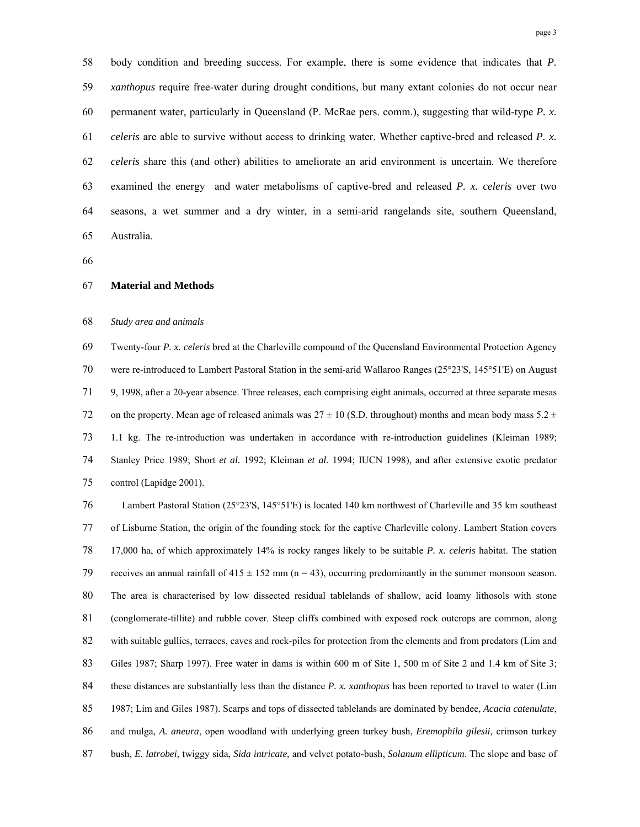58 body condition and breeding success. For example, there is some evidence that indicates that *P.*  59 *xanthopus* require free-water during drought conditions, but many extant colonies do not occur near 60 permanent water, particularly in Queensland (P. McRae pers. comm.), suggesting that wild-type *P. x.*  61 *celeris* are able to survive without access to drinking water. Whether captive-bred and released *P. x.*  62 *celeris* share this (and other) abilities to ameliorate an arid environment is uncertain. We therefore 63 examined the energy and water metabolisms of captive-bred and released *P. x. celeris* over two 64 seasons, a wet summer and a dry winter, in a semi-arid rangelands site, southern Queensland, 65 Australia.

66

#### 67 **Material and Methods**

#### 68 *Study area and animals*

69 Twenty-four *P. x. celeris* bred at the Charleville compound of the Queensland Environmental Protection Agency 70 were re-introduced to Lambert Pastoral Station in the semi-arid Wallaroo Ranges (25°23'S, 145°51'E) on August 71 9, 1998, after a 20-year absence. Three releases, each comprising eight animals, occurred at three separate mesas 72 on the property. Mean age of released animals was  $27 \pm 10$  (S.D. throughout) months and mean body mass  $5.2 \pm 10$ 73 1.1 kg. The re-introduction was undertaken in accordance with re-introduction guidelines (Kleiman 1989; 74 Stanley Price 1989; Short *et al.* 1992; Kleiman *et al.* 1994; IUCN 1998), and after extensive exotic predator 75 control (Lapidge 2001).

76 Lambert Pastoral Station (25°23'S, 145°51'E) is located 140 km northwest of Charleville and 35 km southeast 77 of Lisburne Station, the origin of the founding stock for the captive Charleville colony. Lambert Station covers 78 17,000 ha, of which approximately 14% is rocky ranges likely to be suitable *P. x. celeris* habitat. The station 79 receives an annual rainfall of  $415 \pm 152$  mm (n = 43), occurring predominantly in the summer monsoon season. 80 The area is characterised by low dissected residual tablelands of shallow, acid loamy lithosols with stone 81 (conglomerate-tillite) and rubble cover. Steep cliffs combined with exposed rock outcrops are common, along 82 with suitable gullies, terraces, caves and rock-piles for protection from the elements and from predators (Lim and 83 Giles 1987; Sharp 1997). Free water in dams is within 600 m of Site 1, 500 m of Site 2 and 1.4 km of Site 3; 84 these distances are substantially less than the distance *P. x. xanthopus* has been reported to travel to water (Lim 85 1987; Lim and Giles 1987). Scarps and tops of dissected tablelands are dominated by bendee, *Acacia catenulate*, 86 and mulga, *A. aneura*, open woodland with underlying green turkey bush, *Eremophila gilesii*, crimson turkey 87 bush, *E. latrobei*, twiggy sida, *Sida intricate*, and velvet potato-bush, *Solanum ellipticum*. The slope and base of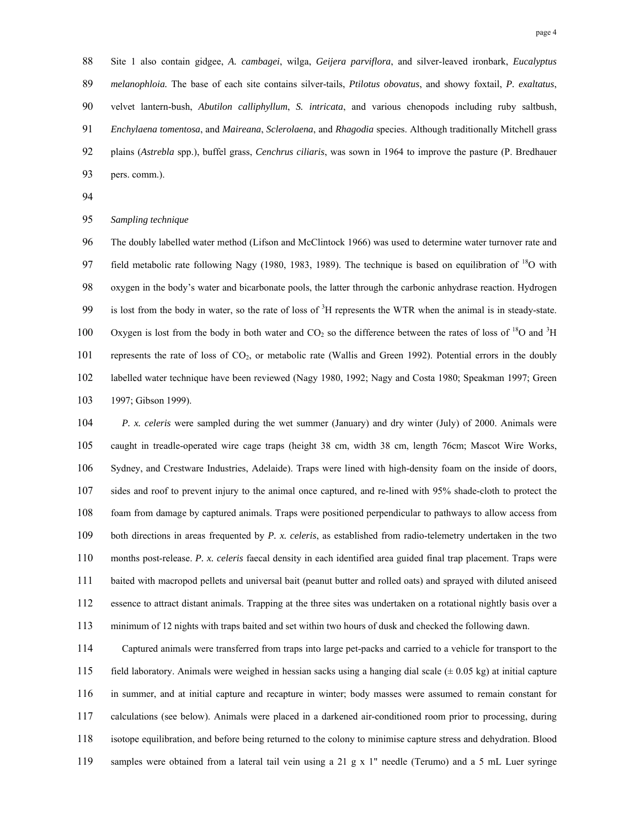88 Site 1 also contain gidgee, *A. cambagei*, wilga, *Geijera parviflora*, and silver-leaved ironbark, *Eucalyptus*  89 *melanophloia.* The base of each site contains silver-tails, *Ptilotus obovatus*, and showy foxtail, *P. exaltatus*, 90 velvet lantern-bush, *Abutilon calliphyllum*, *S. intricata*, and various chenopods including ruby saltbush, 91 *Enchylaena tomentosa*, and *Maireana*, *Sclerolaena*, and *Rhagodia* species. Although traditionally Mitchell grass 92 plains (*Astrebla* spp.), buffel grass, *Cenchrus ciliaris*, was sown in 1964 to improve the pasture (P. Bredhauer 93 pers. comm.).

94

#### 95 *Sampling technique*

96 The doubly labelled water method (Lifson and McClintock 1966) was used to determine water turnover rate and 97 field metabolic rate following Nagy (1980, 1983, 1989). The technique is based on equilibration of  $^{18}$ O with 98 oxygen in the body's water and bicarbonate pools, the latter through the carbonic anhydrase reaction. Hydrogen 99 is lost from the body in water, so the rate of loss of  ${}^{3}H$  represents the WTR when the animal is in steady-state. 100 Oxygen is lost from the body in both water and  $CO_2$  so the difference between the rates of loss of <sup>18</sup>O and <sup>3</sup>H 101 represents the rate of loss of CO<sub>2</sub>, or metabolic rate (Wallis and Green 1992). Potential errors in the doubly 102 labelled water technique have been reviewed (Nagy 1980, 1992; Nagy and Costa 1980; Speakman 1997; Green 103 1997; Gibson 1999).

104 *P. x. celeris* were sampled during the wet summer (January) and dry winter (July) of 2000. Animals were 105 caught in treadle-operated wire cage traps (height 38 cm, width 38 cm, length 76cm; Mascot Wire Works, 106 Sydney, and Crestware Industries, Adelaide). Traps were lined with high-density foam on the inside of doors, 107 sides and roof to prevent injury to the animal once captured, and re-lined with 95% shade-cloth to protect the 108 foam from damage by captured animals. Traps were positioned perpendicular to pathways to allow access from 109 both directions in areas frequented by *P. x. celeris*, as established from radio-telemetry undertaken in the two 110 months post-release. *P. x. celeris* faecal density in each identified area guided final trap placement. Traps were 111 baited with macropod pellets and universal bait (peanut butter and rolled oats) and sprayed with diluted aniseed 112 essence to attract distant animals. Trapping at the three sites was undertaken on a rotational nightly basis over a 113 minimum of 12 nights with traps baited and set within two hours of dusk and checked the following dawn.

114 Captured animals were transferred from traps into large pet-packs and carried to a vehicle for transport to the 115 field laboratory. Animals were weighed in hessian sacks using a hanging dial scale  $(± 0.05 kg)$  at initial capture 116 in summer, and at initial capture and recapture in winter; body masses were assumed to remain constant for 117 calculations (see below). Animals were placed in a darkened air-conditioned room prior to processing, during 118 isotope equilibration, and before being returned to the colony to minimise capture stress and dehydration. Blood 119 samples were obtained from a lateral tail vein using a 21 g x 1" needle (Terumo) and a 5 mL Luer syringe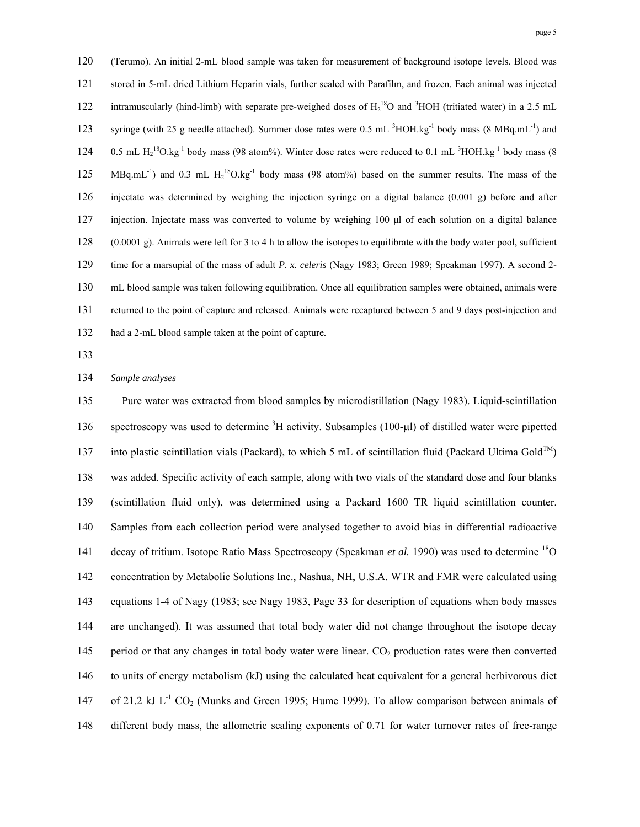120 (Terumo). An initial 2-mL blood sample was taken for measurement of background isotope levels. Blood was 121 stored in 5-mL dried Lithium Heparin vials, further sealed with Parafilm, and frozen. Each animal was injected 122 intramuscularly (hind-limb) with separate pre-weighed doses of  $H_2^{18}O$  and <sup>3</sup>HOH (tritiated water) in a 2.5 mL 123 syringe (with 25 g needle attached). Summer dose rates were 0.5 mL <sup>3</sup>HOH.kg<sup>-1</sup> body mass (8 MBq.mL<sup>-1</sup>) and 124 0.5 mL  $H_2$ <sup>18</sup>O.kg<sup>-1</sup> body mass (98 atom%). Winter dose rates were reduced to 0.1 mL <sup>3</sup>HOH.kg<sup>-1</sup> body mass (8 125 MBq.mL<sup>-1</sup>) and 0.3 mL H<sub>2</sub><sup>18</sup>O.kg<sup>-1</sup> body mass (98 atom%) based on the summer results. The mass of the 126 injectate was determined by weighing the injection syringe on a digital balance (0.001 g) before and after 127 injection. Injectate mass was converted to volume by weighing 100 μl of each solution on a digital balance 128 (0.0001 g). Animals were left for 3 to 4 h to allow the isotopes to equilibrate with the body water pool, sufficient 129 time for a marsupial of the mass of adult *P. x. celeris* (Nagy 1983; Green 1989; Speakman 1997). A second 2- 130 mL blood sample was taken following equilibration. Once all equilibration samples were obtained, animals were 131 returned to the point of capture and released. Animals were recaptured between 5 and 9 days post-injection and 132 had a 2-mL blood sample taken at the point of capture.

133

134 *Sample analyses* 

135 Pure water was extracted from blood samples by microdistillation (Nagy 1983). Liquid-scintillation 136 spectroscopy was used to determine  ${}^{3}H$  activity. Subsamples (100-µ) of distilled water were pipetted 137 into plastic scintillation vials (Packard), to which 5 mL of scintillation fluid (Packard Ultima Gold<sup>TM</sup>) 138 was added. Specific activity of each sample, along with two vials of the standard dose and four blanks 139 (scintillation fluid only), was determined using a Packard 1600 TR liquid scintillation counter. 140 Samples from each collection period were analysed together to avoid bias in differential radioactive 141 decay of tritium. Isotope Ratio Mass Spectroscopy (Speakman *et al.* 1990) was used to determine <sup>18</sup>O 142 concentration by Metabolic Solutions Inc., Nashua, NH, U.S.A. WTR and FMR were calculated using 143 equations 1-4 of Nagy (1983; see Nagy 1983, Page 33 for description of equations when body masses 144 are unchanged). It was assumed that total body water did not change throughout the isotope decay 145 period or that any changes in total body water were linear. CO<sub>2</sub> production rates were then converted 146 to units of energy metabolism (kJ) using the calculated heat equivalent for a general herbivorous diet 147 of 21.2 kJ  $L^{-1}$  CO<sub>2</sub> (Munks and Green 1995; Hume 1999). To allow comparison between animals of 148 different body mass, the allometric scaling exponents of 0.71 for water turnover rates of free-range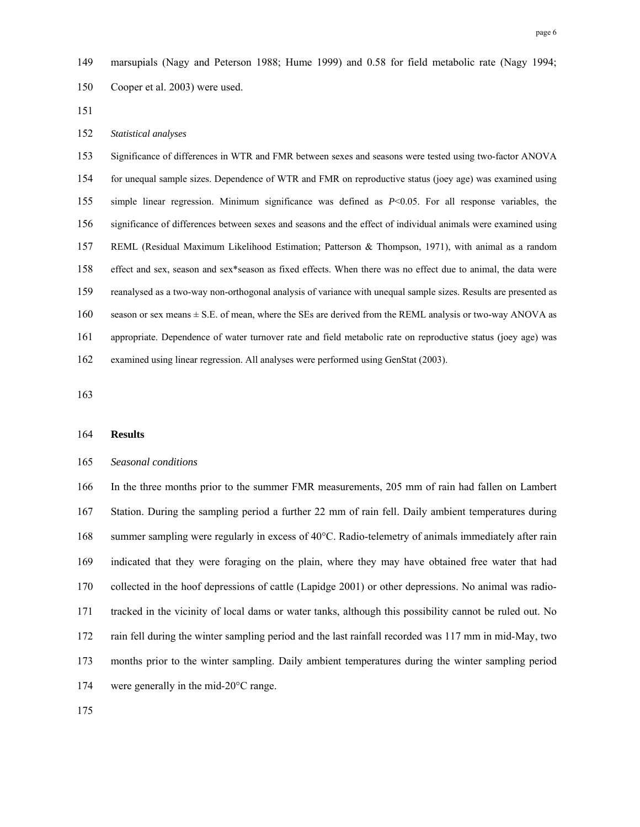149 marsupials (Nagy and Peterson 1988; Hume 1999) and 0.58 for field metabolic rate (Nagy 1994; 150 Cooper et al. 2003) were used.

151

#### 152 *Statistical analyses*

153 Significance of differences in WTR and FMR between sexes and seasons were tested using two-factor ANOVA 154 for unequal sample sizes. Dependence of WTR and FMR on reproductive status (joey age) was examined using 155 simple linear regression. Minimum significance was defined as *P*<0.05. For all response variables, the 156 significance of differences between sexes and seasons and the effect of individual animals were examined using 157 REML (Residual Maximum Likelihood Estimation; Patterson & Thompson, 1971), with animal as a random 158 effect and sex, season and sex\*season as fixed effects. When there was no effect due to animal, the data were 159 reanalysed as a two-way non-orthogonal analysis of variance with unequal sample sizes. Results are presented as 160 season or sex means ± S.E. of mean, where the SEs are derived from the REML analysis or two-way ANOVA as 161 appropriate. Dependence of water turnover rate and field metabolic rate on reproductive status (joey age) was 162 examined using linear regression. All analyses were performed using GenStat (2003).

163

#### 164 **Results**

#### 165 *Seasonal conditions*

166 In the three months prior to the summer FMR measurements, 205 mm of rain had fallen on Lambert 167 Station. During the sampling period a further 22 mm of rain fell. Daily ambient temperatures during 168 summer sampling were regularly in excess of 40°C. Radio-telemetry of animals immediately after rain 169 indicated that they were foraging on the plain, where they may have obtained free water that had 170 collected in the hoof depressions of cattle (Lapidge 2001) or other depressions. No animal was radio-171 tracked in the vicinity of local dams or water tanks, although this possibility cannot be ruled out. No 172 rain fell during the winter sampling period and the last rainfall recorded was 117 mm in mid-May, two 173 months prior to the winter sampling. Daily ambient temperatures during the winter sampling period 174 were generally in the mid-20°C range.

175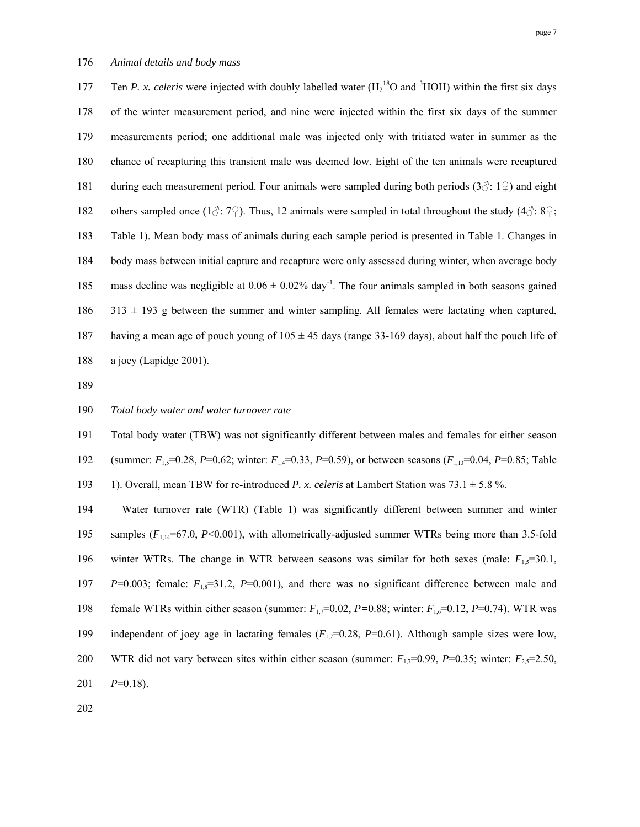177 Ten *P. x. celeris* were injected with doubly labelled water  $(H_2^{18}O \text{ and } ^3HOH)$  within the first six days 178 of the winter measurement period, and nine were injected within the first six days of the summer 179 measurements period; one additional male was injected only with tritiated water in summer as the 180 chance of recapturing this transient male was deemed low. Eight of the ten animals were recaptured 181 during each measurement period. Four animals were sampled during both periods  $(3\hat{c}: 1\hat{z})$  and eight 182 others sampled once (1 $\circ$ : 7 $\circ$ ). Thus, 12 animals were sampled in total throughout the study (4 $\circ$ : 8 $\circ$ ; 183 Table 1). Mean body mass of animals during each sample period is presented in Table 1. Changes in 184 body mass between initial capture and recapture were only assessed during winter, when average body 185 mass decline was negligible at  $0.06 \pm 0.02\%$  day<sup>-1</sup>. The four animals sampled in both seasons gained  $186$   $313 \pm 193$  g between the summer and winter sampling. All females were lactating when captured, 187 having a mean age of pouch young of 105 ± 45 days (range 33-169 days), about half the pouch life of 188 a joey (Lapidge 2001).

189

## 190 *Total body water and water turnover rate*

191 Total body water (TBW) was not significantly different between males and females for either season

192 (summer: *F*1,5=0.28, *P*=0.62; winter: *F*1,4=0.33, *P*=0.59), or between seasons (*F*1,13=0.04, *P*=0.85; Table

193 1). Overall, mean TBW for re-introduced *P. x. celeris* at Lambert Station was 73.1 ± 5.8 %.

194 Water turnover rate (WTR) (Table 1) was significantly different between summer and winter 195 samples ( $F_{1,14}$ =67.0, *P*<0.001), with allometrically-adjusted summer WTRs being more than 3.5-fold 196 winter WTRs. The change in WTR between seasons was similar for both sexes (male:  $F_1$ , $=$ 30.1, 197 *P*=0.003; female:  $F_{1,8}$ =31.2, *P*=0.001), and there was no significant difference between male and 198 female WTRs within either season (summer:  $F_{1,7}=0.02$ ,  $P=0.88$ ; winter:  $F_{1,6}=0.12$ ,  $P=0.74$ ). WTR was 199 independent of joey age in lactating females  $(F_{1,7}=0.28, P=0.61)$ . Although sample sizes were low, 200 WTR did not vary between sites within either season (summer:  $F_{1,7}=0.99$ ,  $P=0.35$ ; winter:  $F_{2,5}=2.50$ ,  $201$   $P=0.18$ ).

202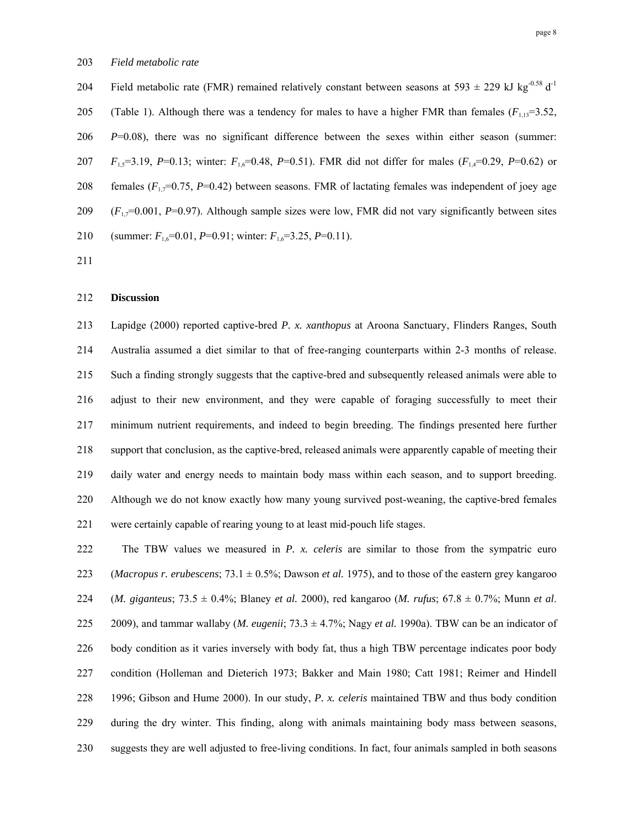204 Field metabolic rate (FMR) remained relatively constant between seasons at 593  $\pm$  229 kJ kg<sup>-0.58</sup> d<sup>-1</sup> 205 (Table 1). Although there was a tendency for males to have a higher FMR than females ( $F_{1,13}=3.52$ , 206 *P*=0.08), there was no significant difference between the sexes within either season (summer: 207 *F*<sub>1,5</sub>=3.19, *P*=0.13; winter: *F*<sub>1,6</sub>=0.48, *P*=0.51). FMR did not differ for males (*F*<sub>1,4</sub>=0.29, *P*=0.62) or 208 females  $(F_1,7=0.75, P=0.42)$  between seasons. FMR of lactating females was independent of joey age 209 (*F*1,7=0.001, *P*=0.97). Although sample sizes were low, FMR did not vary significantly between sites 210 (summer:  $F_{1,6}=0.01$ ,  $P=0.91$ ; winter:  $F_{1,6}=3.25$ ,  $P=0.11$ ).

211

### 212 **Discussion**

213 Lapidge (2000) reported captive-bred *P. x. xanthopus* at Aroona Sanctuary, Flinders Ranges, South 214 Australia assumed a diet similar to that of free-ranging counterparts within 2-3 months of release. 215 Such a finding strongly suggests that the captive-bred and subsequently released animals were able to 216 adjust to their new environment, and they were capable of foraging successfully to meet their 217 minimum nutrient requirements, and indeed to begin breeding. The findings presented here further 218 support that conclusion, as the captive-bred, released animals were apparently capable of meeting their 219 daily water and energy needs to maintain body mass within each season, and to support breeding. 220 Although we do not know exactly how many young survived post-weaning, the captive-bred females 221 were certainly capable of rearing young to at least mid-pouch life stages.

222 The TBW values we measured in *P. x. celeris* are similar to those from the sympatric euro 223 (*Macropus r. erubescens*; 73.1 ± 0.5%; Dawson *et al.* 1975), and to those of the eastern grey kangaroo 224 (*M. giganteus*; 73.5 ± 0.4%; Blaney *et al.* 2000), red kangaroo (*M. rufus*; 67.8 ± 0.7%; Munn *et al*. 225 2009), and tammar wallaby (*M. eugenii*;  $73.3 \pm 4.7\%$ ; Nagy *et al.* 1990a). TBW can be an indicator of 226 body condition as it varies inversely with body fat, thus a high TBW percentage indicates poor body 227 condition (Holleman and Dieterich 1973; Bakker and Main 1980; Catt 1981; Reimer and Hindell 228 1996; Gibson and Hume 2000). In our study, *P. x. celeris* maintained TBW and thus body condition 229 during the dry winter. This finding, along with animals maintaining body mass between seasons, 230 suggests they are well adjusted to free-living conditions. In fact, four animals sampled in both seasons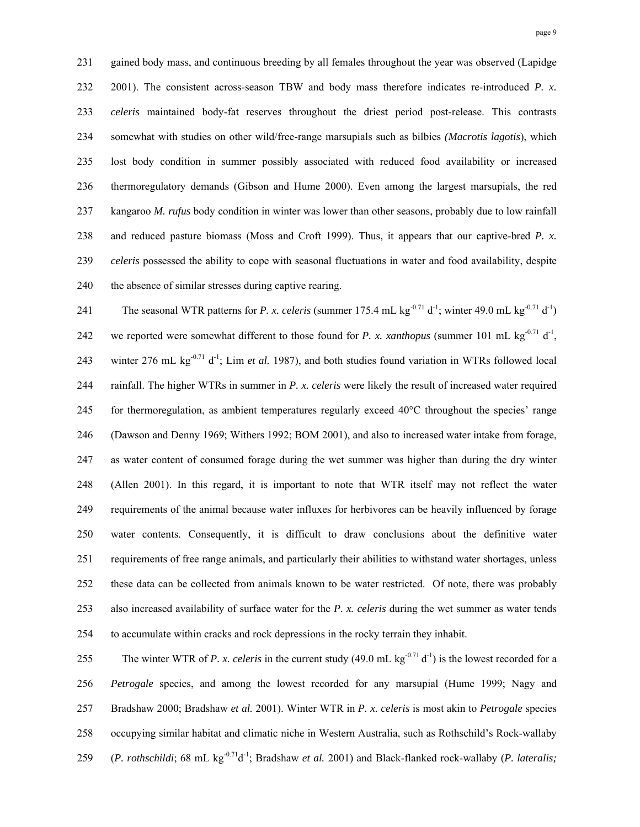231 gained body mass, and continuous breeding by all females throughout the year was observed (Lapidge 232 2001). The consistent across-season TBW and body mass therefore indicates re-introduced *P. x.*  233 *celeris* maintained body-fat reserves throughout the driest period post-release. This contrasts 234 somewhat with studies on other wild/free-range marsupials such as bilbies *(Macrotis lagotis*), which 235 lost body condition in summer possibly associated with reduced food availability or increased 236 thermoregulatory demands (Gibson and Hume 2000). Even among the largest marsupials, the red 237 kangaroo *M. rufus* body condition in winter was lower than other seasons, probably due to low rainfall 238 and reduced pasture biomass (Moss and Croft 1999). Thus, it appears that our captive-bred *P. x.*  239 *celeris* possessed the ability to cope with seasonal fluctuations in water and food availability, despite 240 the absence of similar stresses during captive rearing.

241 The seasonal WTR patterns for *P. x. celeris* (summer 175.4 mL kg<sup>-0.71</sup> d<sup>-1</sup>; winter 49.0 mL kg<sup>-0.71</sup> d<sup>-1</sup>) 242 we reported were somewhat different to those found for *P. x. xanthopus* (summer 101 mL kg<sup>-0.71</sup> d<sup>-1</sup>, 243 winter 276 mL kg<sup>-0.71</sup> d<sup>-1</sup>; Lim *et al.* 1987), and both studies found variation in WTRs followed local 244 rainfall. The higher WTRs in summer in *P. x. celeris* were likely the result of increased water required 245 for thermoregulation, as ambient temperatures regularly exceed  $40^{\circ}$ C throughout the species' range 246 (Dawson and Denny 1969; Withers 1992; BOM 2001), and also to increased water intake from forage, 247 as water content of consumed forage during the wet summer was higher than during the dry winter 248 (Allen 2001). In this regard, it is important to note that WTR itself may not reflect the water 249 requirements of the animal because water influxes for herbivores can be heavily influenced by forage 250 water contents. Consequently, it is difficult to draw conclusions about the definitive water 251 requirements of free range animals, and particularly their abilities to withstand water shortages, unless 252 these data can be collected from animals known to be water restricted. Of note, there was probably 253 also increased availability of surface water for the *P. x. celeris* during the wet summer as water tends 254 to accumulate within cracks and rock depressions in the rocky terrain they inhabit.

255 The winter WTR of *P. x. celeris* in the current study  $(49.0 \text{ mL kg}^{-0.71} d^{-1})$  is the lowest recorded for a 256 *Petrogale* species, and among the lowest recorded for any marsupial (Hume 1999; Nagy and 257 Bradshaw 2000; Bradshaw *et al.* 2001). Winter WTR in *P. x. celeris* is most akin to *Petrogale* species 258 occupying similar habitat and climatic niche in Western Australia, such as Rothschild's Rock-wallaby 259 (*P. rothschildi*; 68 mL kg<sup>-0.71</sup>d<sup>-1</sup>; Bradshaw *et al.* 2001) and Black-flanked rock-wallaby (*P. lateralis*;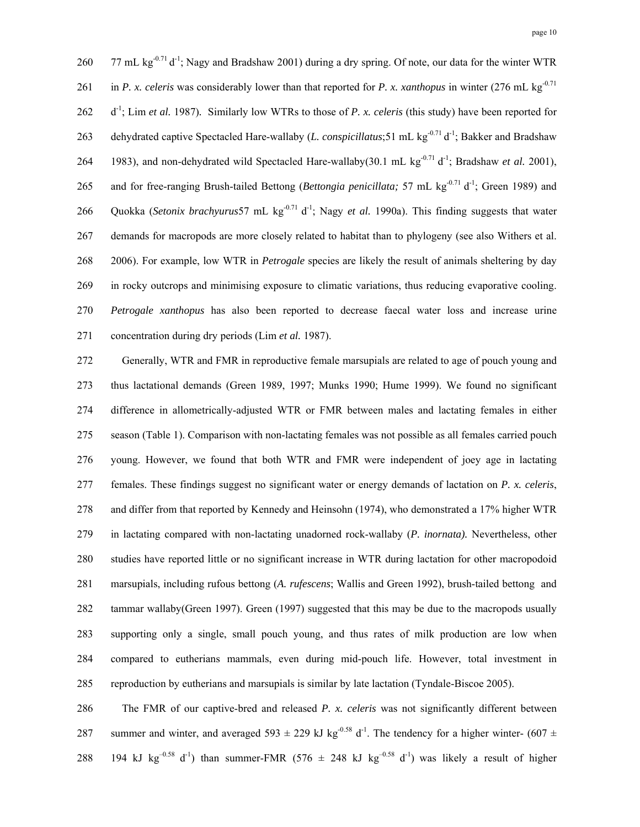260 77 mL kg<sup>-0.71</sup> d<sup>-1</sup>; Nagy and Bradshaw 2001) during a dry spring. Of note, our data for the winter WTR 261 in *P. x. celeris* was considerably lower than that reported for *P. x. xanthopus* in winter (276 mL kg<sup>-0.71</sup>) 262 d<sup>-1</sup>; Lim *et al.* 1987). Similarly low WTRs to those of P. x. celeris (this study) have been reported for 263 dehydrated captive Spectacled Hare-wallaby (*L. conspicillatus*;51 mL kg<sup>-0.71</sup> d<sup>-1</sup>; Bakker and Bradshaw 264 1983), and non-dehydrated wild Spectacled Hare-wallaby(30.1 mL kg<sup>-0.71</sup> d<sup>-1</sup>; Bradshaw *et al.* 2001), 265 and for free-ranging Brush-tailed Bettong (*Bettongia penicillata*; 57 mL kg<sup>-0.71</sup> d<sup>-1</sup>; Green 1989) and 266 Quokka (*Setonix brachyurus* 57 mL kg<sup>-0.71</sup> d<sup>-1</sup>; Nagy *et al.* 1990a). This finding suggests that water 267 demands for macropods are more closely related to habitat than to phylogeny (see also Withers et al. 268 2006). For example, low WTR in *Petrogale* species are likely the result of animals sheltering by day 269 in rocky outcrops and minimising exposure to climatic variations, thus reducing evaporative cooling. 270 *Petrogale xanthopus* has also been reported to decrease faecal water loss and increase urine 271 concentration during dry periods (Lim *et al.* 1987).

272 Generally, WTR and FMR in reproductive female marsupials are related to age of pouch young and 273 thus lactational demands (Green 1989, 1997; Munks 1990; Hume 1999). We found no significant 274 difference in allometrically-adjusted WTR or FMR between males and lactating females in either 275 season (Table 1). Comparison with non-lactating females was not possible as all females carried pouch 276 young. However, we found that both WTR and FMR were independent of joey age in lactating 277 females. These findings suggest no significant water or energy demands of lactation on *P. x. celeris*, 278 and differ from that reported by Kennedy and Heinsohn (1974), who demonstrated a 17% higher WTR 279 in lactating compared with non-lactating unadorned rock-wallaby (*P. inornata).* Nevertheless, other 280 studies have reported little or no significant increase in WTR during lactation for other macropodoid 281 marsupials, including rufous bettong (*A. rufescens*; Wallis and Green 1992), brush-tailed bettong and 282 tammar wallaby(Green 1997). Green (1997) suggested that this may be due to the macropods usually 283 supporting only a single, small pouch young, and thus rates of milk production are low when 284 compared to eutherians mammals, even during mid-pouch life. However, total investment in 285 reproduction by eutherians and marsupials is similar by late lactation (Tyndale-Biscoe 2005).

286 The FMR of our captive-bred and released *P. x. celeris* was not significantly different between 287 summer and winter, and averaged 593  $\pm$  229 kJ kg<sup>-0.58</sup> d<sup>-1</sup>. The tendency for a higher winter- (607  $\pm$ 288 194 kJ kg<sup>-0.58</sup> d<sup>-1</sup>) than summer-FMR (576  $\pm$  248 kJ kg<sup>-0.58</sup> d<sup>-1</sup>) was likely a result of higher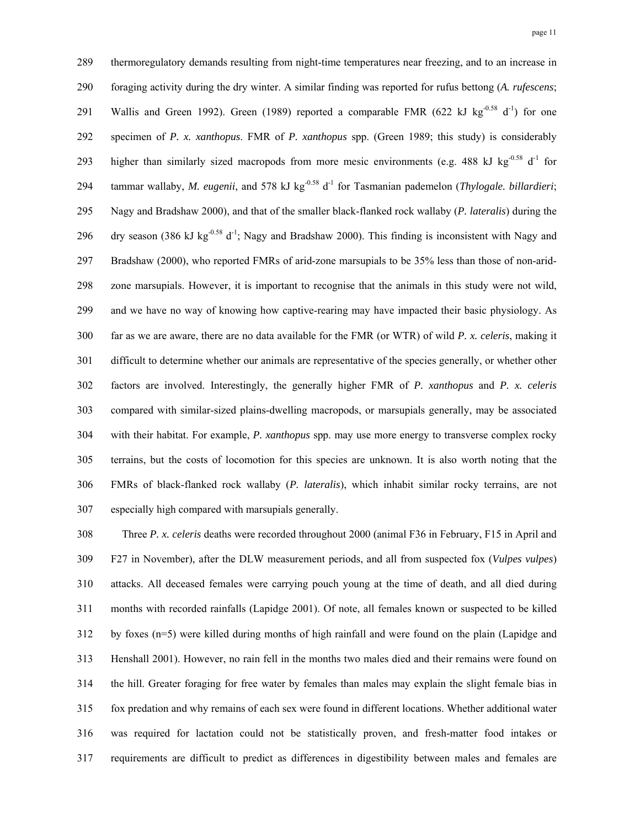289 thermoregulatory demands resulting from night-time temperatures near freezing, and to an increase in 290 foraging activity during the dry winter. A similar finding was reported for rufus bettong (*A. rufescens*; 291 Wallis and Green 1992). Green (1989) reported a comparable FMR (622 kJ kg<sup>-0.58</sup> d<sup>-1</sup>) for one 292 specimen of *P. x. xanthopus*. FMR of *P. xanthopus* spp. (Green 1989; this study) is considerably 293 higher than similarly sized macropods from more mesic environments (e.g. 488 kJ kg $^{-0.58}$  d<sup>-1</sup> for 294 tammar wallaby, *M. eugenii*, and 578 kJ kg<sup>-0.58</sup> d<sup>-1</sup> for Tasmanian pademelon (*Thylogale. billardieri*; 295 Nagy and Bradshaw 2000), and that of the smaller black-flanked rock wallaby (*P. lateralis*) during the 296 dry season (386 kJ kg<sup>-0.58</sup> d<sup>-1</sup>; Nagy and Bradshaw 2000). This finding is inconsistent with Nagy and 297 Bradshaw (2000), who reported FMRs of arid-zone marsupials to be 35% less than those of non-arid-298 zone marsupials. However, it is important to recognise that the animals in this study were not wild, 299 and we have no way of knowing how captive-rearing may have impacted their basic physiology. As 300 far as we are aware, there are no data available for the FMR (or WTR) of wild *P. x. celeris*, making it 301 difficult to determine whether our animals are representative of the species generally, or whether other 302 factors are involved. Interestingly, the generally higher FMR of *P. xanthopus* and *P. x. celeris* 303 compared with similar-sized plains-dwelling macropods, or marsupials generally, may be associated 304 with their habitat. For example, *P. xanthopus* spp. may use more energy to transverse complex rocky 305 terrains, but the costs of locomotion for this species are unknown. It is also worth noting that the 306 FMRs of black-flanked rock wallaby (*P. lateralis*), which inhabit similar rocky terrains, are not 307 especially high compared with marsupials generally.

308 Three *P. x. celeris* deaths were recorded throughout 2000 (animal F36 in February, F15 in April and 309 F27 in November), after the DLW measurement periods, and all from suspected fox (*Vulpes vulpes*) 310 attacks. All deceased females were carrying pouch young at the time of death, and all died during 311 months with recorded rainfalls (Lapidge 2001). Of note, all females known or suspected to be killed 312 by foxes (n=5) were killed during months of high rainfall and were found on the plain (Lapidge and 313 Henshall 2001). However, no rain fell in the months two males died and their remains were found on 314 the hill. Greater foraging for free water by females than males may explain the slight female bias in 315 fox predation and why remains of each sex were found in different locations. Whether additional water 316 was required for lactation could not be statistically proven, and fresh-matter food intakes or 317 requirements are difficult to predict as differences in digestibility between males and females are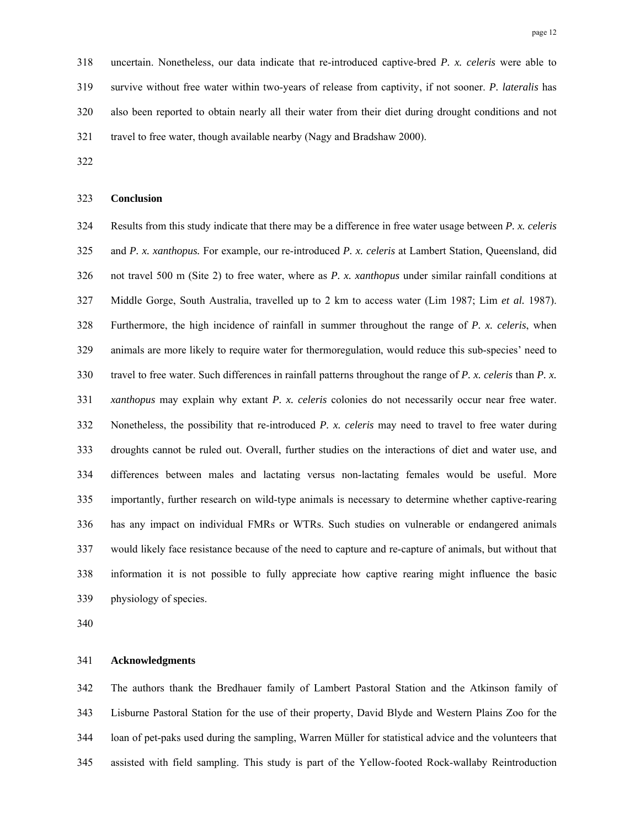318 uncertain. Nonetheless, our data indicate that re-introduced captive-bred *P. x. celeris* were able to 319 survive without free water within two-years of release from captivity, if not sooner. *P. lateralis* has 320 also been reported to obtain nearly all their water from their diet during drought conditions and not 321 travel to free water, though available nearby (Nagy and Bradshaw 2000).

322

#### 323 **Conclusion**

324 Results from this study indicate that there may be a difference in free water usage between *P. x. celeris*  325 and *P. x. xanthopus.* For example, our re-introduced *P. x. celeris* at Lambert Station, Queensland, did 326 not travel 500 m (Site 2) to free water, where as *P. x. xanthopus* under similar rainfall conditions at 327 Middle Gorge, South Australia, travelled up to 2 km to access water (Lim 1987; Lim *et al.* 1987). 328 Furthermore, the high incidence of rainfall in summer throughout the range of *P. x. celeris*, when 329 animals are more likely to require water for thermoregulation, would reduce this sub-species' need to 330 travel to free water. Such differences in rainfall patterns throughout the range of *P. x. celeris* than *P. x.*  331 *xanthopus* may explain why extant *P. x. celeris* colonies do not necessarily occur near free water. 332 Nonetheless, the possibility that re-introduced *P. x. celeris* may need to travel to free water during 333 droughts cannot be ruled out. Overall, further studies on the interactions of diet and water use, and 334 differences between males and lactating versus non-lactating females would be useful. More 335 importantly, further research on wild-type animals is necessary to determine whether captive-rearing 336 has any impact on individual FMRs or WTRs. Such studies on vulnerable or endangered animals 337 would likely face resistance because of the need to capture and re-capture of animals, but without that 338 information it is not possible to fully appreciate how captive rearing might influence the basic 339 physiology of species.

340

# 341 **Acknowledgments**

342 The authors thank the Bredhauer family of Lambert Pastoral Station and the Atkinson family of 343 Lisburne Pastoral Station for the use of their property, David Blyde and Western Plains Zoo for the 344 loan of pet-paks used during the sampling, Warren Müller for statistical advice and the volunteers that 345 assisted with field sampling. This study is part of the Yellow-footed Rock-wallaby Reintroduction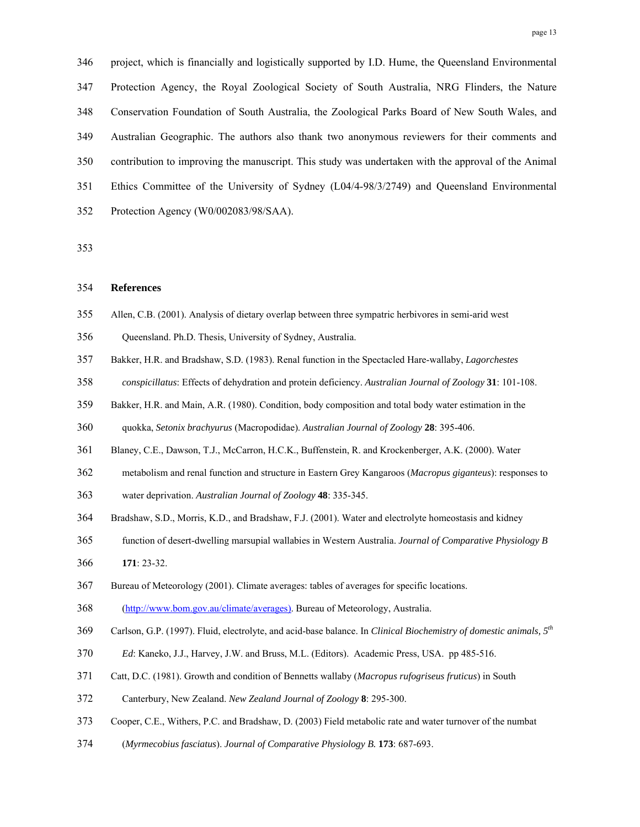346 project, which is financially and logistically supported by I.D. Hume, the Queensland Environmental 347 Protection Agency, the Royal Zoological Society of South Australia, NRG Flinders, the Nature 348 Conservation Foundation of South Australia, the Zoological Parks Board of New South Wales, and 349 Australian Geographic. The authors also thank two anonymous reviewers for their comments and 350 contribution to improving the manuscript. This study was undertaken with the approval of the Animal 351 Ethics Committee of the University of Sydney (L04/4-98/3/2749) and Queensland Environmental 352 Protection Agency (W0/002083/98/SAA).

353

## 354 **References**

- 355 Allen, C.B. (2001). Analysis of dietary overlap between three sympatric herbivores in semi-arid west
- 356 Queensland. Ph.D. Thesis, University of Sydney, Australia.
- 357 Bakker, H.R. and Bradshaw, S.D. (1983). Renal function in the Spectacled Hare-wallaby, *Lagorchestes*
- 358 *conspicillatus*: Effects of dehydration and protein deficiency. *Australian Journal of Zoology* **31**: 101-108.
- 359 Bakker, H.R. and Main, A.R. (1980). Condition, body composition and total body water estimation in the
- 360 quokka, *Setonix brachyurus* (Macropodidae). *Australian Journal of Zoology* **28**: 395-406.
- 361 Blaney, C.E., Dawson, T.J., McCarron, H.C.K., Buffenstein, R. and Krockenberger, A.K. (2000). Water
- 362 metabolism and renal function and structure in Eastern Grey Kangaroos (*Macropus giganteus*): responses to
- 363 water deprivation. *Australian Journal of Zoology* **48**: 335-345.
- 364 Bradshaw, S.D., Morris, K.D., and Bradshaw, F.J. (2001). Water and electrolyte homeostasis and kidney
- 365 function of desert-dwelling marsupial wallabies in Western Australia. *Journal of Comparative Physiology B* 366 **171**: 23-32.
- 367 Bureau of Meteorology (2001). Climate averages: tables of averages for specific locations.

368 (http://www.bom.gov.au/climate/averages). Bureau of Meteorology, Australia.

- Carlson, G.P. (1997). Fluid, electrolyte, and acid-base balance. In *Clinical Biochemistry of domestic animals, 5th* 369
- 370 *Ed*: Kaneko, J.J., Harvey, J.W. and Bruss, M.L. (Editors). Academic Press, USA. pp 485-516.
- 371 Catt, D.C. (1981). Growth and condition of Bennetts wallaby (*Macropus rufogriseus fruticus*) in South
- 372 Canterbury, New Zealand. *New Zealand Journal of Zoology* **8**: 295-300.
- 373 Cooper, C.E., Withers, P.C. and Bradshaw, D. (2003) Field metabolic rate and water turnover of the numbat
- 374 (*Myrmecobius fasciatus*). *Journal of Comparative Physiology B.* **173**: 687-693.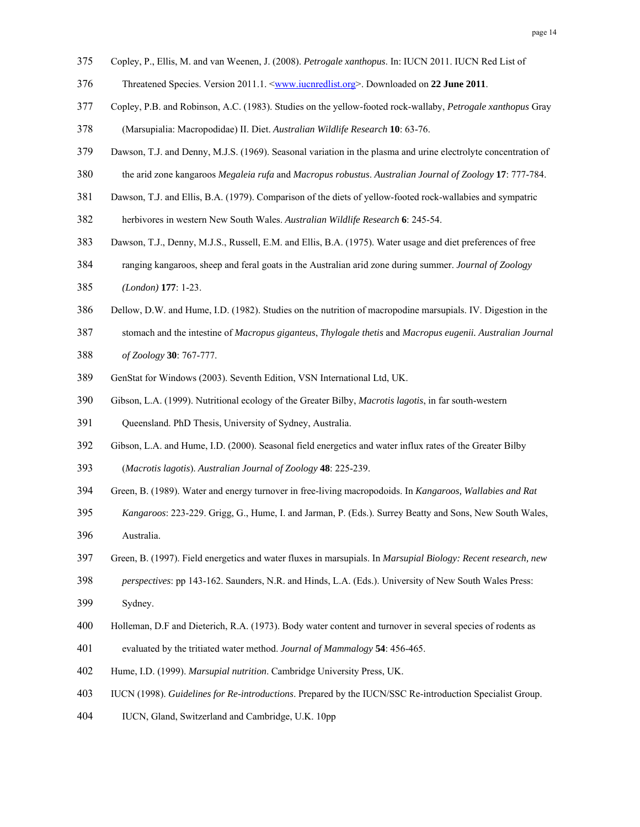- 375 Copley, P., Ellis, M. and van Weenen, J. (2008). *Petrogale xanthopus*. In: IUCN 2011. IUCN Red List of
- 376 Threatened Species. Version 2011.1. <www.iucnredlist.org>. Downloaded on **22 June 2011**.
- 377 Copley, P.B. and Robinson, A.C. (1983). Studies on the yellow-footed rock-wallaby, *Petrogale xanthopus* Gray
- 378 (Marsupialia: Macropodidae) II. Diet. *Australian Wildlife Research* **10**: 63-76.
- 379 Dawson, T.J. and Denny, M.J.S. (1969). Seasonal variation in the plasma and urine electrolyte concentration of
- 380 the arid zone kangaroos *Megaleia rufa* and *Macropus robustus*. *Australian Journal of Zoology* **17**: 777-784.
- 381 Dawson, T.J. and Ellis, B.A. (1979). Comparison of the diets of yellow-footed rock-wallabies and sympatric
- 382 herbivores in western New South Wales. *Australian Wildlife Research* **6**: 245-54.
- 383 Dawson, T.J., Denny, M.J.S., Russell, E.M. and Ellis, B.A. (1975). Water usage and diet preferences of free
- 384 ranging kangaroos, sheep and feral goats in the Australian arid zone during summer. *Journal of Zoology*
- 385 *(London)* **177**: 1-23.
- 386 Dellow, D.W. and Hume, I.D. (1982). Studies on the nutrition of macropodine marsupials. IV. Digestion in the
- 387 stomach and the intestine of *Macropus giganteus*, *Thylogale thetis* and *Macropus eugenii. Australian Journal*
- 388 *of Zoology* **30**: 767-777.
- 389 GenStat for Windows (2003). Seventh Edition, VSN International Ltd, UK.
- 390 Gibson, L.A. (1999). Nutritional ecology of the Greater Bilby, *Macrotis lagotis*, in far south-western
- 391 Queensland. PhD Thesis, University of Sydney, Australia.
- 392 Gibson, L.A. and Hume, I.D. (2000). Seasonal field energetics and water influx rates of the Greater Bilby
- 393 (*Macrotis lagotis*). *Australian Journal of Zoology* **48**: 225-239.
- 394 Green, B. (1989). Water and energy turnover in free-living macropodoids. In *Kangaroos, Wallabies and Rat*
- 395 *Kangaroos*: 223-229. Grigg, G., Hume, I. and Jarman, P. (Eds.). Surrey Beatty and Sons, New South Wales,
- 396 Australia.
- 397 Green, B. (1997). Field energetics and water fluxes in marsupials. In *Marsupial Biology: Recent research, new*
- 398 *perspectives*: pp 143-162. Saunders, N.R. and Hinds, L.A. (Eds.). University of New South Wales Press:
- 399 Sydney.
- 400 Holleman, D.F and Dieterich, R.A. (1973). Body water content and turnover in several species of rodents as
- 401 evaluated by the tritiated water method. *Journal of Mammalogy* **54**: 456-465.
- 402 Hume, I.D. (1999). *Marsupial nutrition*. Cambridge University Press, UK.
- 403 IUCN (1998). *Guidelines for Re-introductions*. Prepared by the IUCN/SSC Re-introduction Specialist Group.
- 404 IUCN, Gland, Switzerland and Cambridge, U.K. 10pp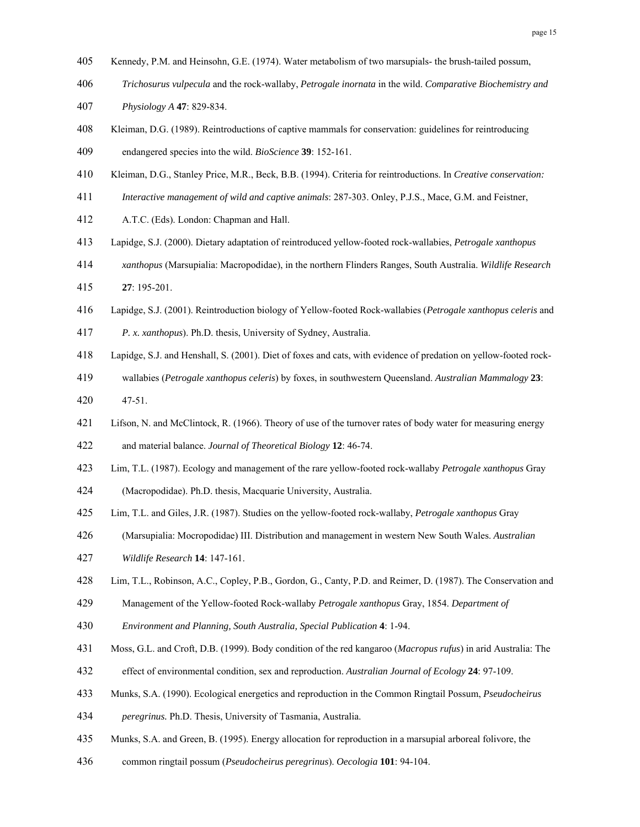- 405 Kennedy, P.M. and Heinsohn, G.E. (1974). Water metabolism of two marsupials- the brush-tailed possum,
- 406 *Trichosurus vulpecula* and the rock-wallaby, *Petrogale inornata* in the wild. *Comparative Biochemistry and*
- 407 *Physiology A* **47**: 829-834.
- 408 Kleiman, D.G. (1989). Reintroductions of captive mammals for conservation: guidelines for reintroducing 409 endangered species into the wild. *BioScience* **39**: 152-161.
- 410 Kleiman, D.G., Stanley Price, M.R., Beck, B.B. (1994). Criteria for reintroductions. In *Creative conservation:*
- 411 *Interactive management of wild and captive animals*: 287-303. Onley, P.J.S., Mace, G.M. and Feistner,
- 412 A.T.C. (Eds). London: Chapman and Hall.
- 413 Lapidge, S.J. (2000). Dietary adaptation of reintroduced yellow-footed rock-wallabies, *Petrogale xanthopus*
- 414 *xanthopus* (Marsupialia: Macropodidae), in the northern Flinders Ranges, South Australia. *Wildlife Research* 415 **27**: 195-201.
- 416 Lapidge, S.J. (2001). Reintroduction biology of Yellow-footed Rock-wallabies (*Petrogale xanthopus celeris* and

417 *P. x. xanthopus*). Ph.D. thesis, University of Sydney, Australia.

- 418 Lapidge, S.J. and Henshall, S. (2001). Diet of foxes and cats, with evidence of predation on yellow-footed rock-
- 419 wallabies (*Petrogale xanthopus celeris*) by foxes, in southwestern Queensland. *Australian Mammalogy* **23**:
- 420 47-51.
- 421 Lifson, N. and McClintock, R. (1966). Theory of use of the turnover rates of body water for measuring energy
- 422 and material balance. *Journal of Theoretical Biology* **12**: 46-74.
- 423 Lim, T.L. (1987). Ecology and management of the rare yellow-footed rock-wallaby *Petrogale xanthopus* Gray
- 424 (Macropodidae). Ph.D. thesis, Macquarie University, Australia.
- 425 Lim, T.L. and Giles, J.R. (1987). Studies on the yellow-footed rock-wallaby, *Petrogale xanthopus* Gray
- 426 (Marsupialia: Mocropodidae) III. Distribution and management in western New South Wales. *Australian*
- 427 *Wildlife Research* **14**: 147-161.
- 428 Lim, T.L., Robinson, A.C., Copley, P.B., Gordon, G., Canty, P.D. and Reimer, D. (1987). The Conservation and
- 429 Management of the Yellow-footed Rock-wallaby *Petrogale xanthopus* Gray, 1854. *Department of*
- 430 *Environment and Planning, South Australia, Special Publication* **4**: 1-94.
- 431 Moss, G.L. and Croft, D.B. (1999). Body condition of the red kangaroo (*Macropus rufus*) in arid Australia: The
- 432 effect of environmental condition, sex and reproduction. *Australian Journal of Ecology* **24**: 97-109.
- 433 Munks, S.A. (1990). Ecological energetics and reproduction in the Common Ringtail Possum, *Pseudocheirus*
- 434 *peregrinus.* Ph.D. Thesis, University of Tasmania, Australia.
- 435 Munks, S.A. and Green, B. (1995). Energy allocation for reproduction in a marsupial arboreal folivore, the
- 436 common ringtail possum (*Pseudocheirus peregrinus*). *Oecologia* **101**: 94-104.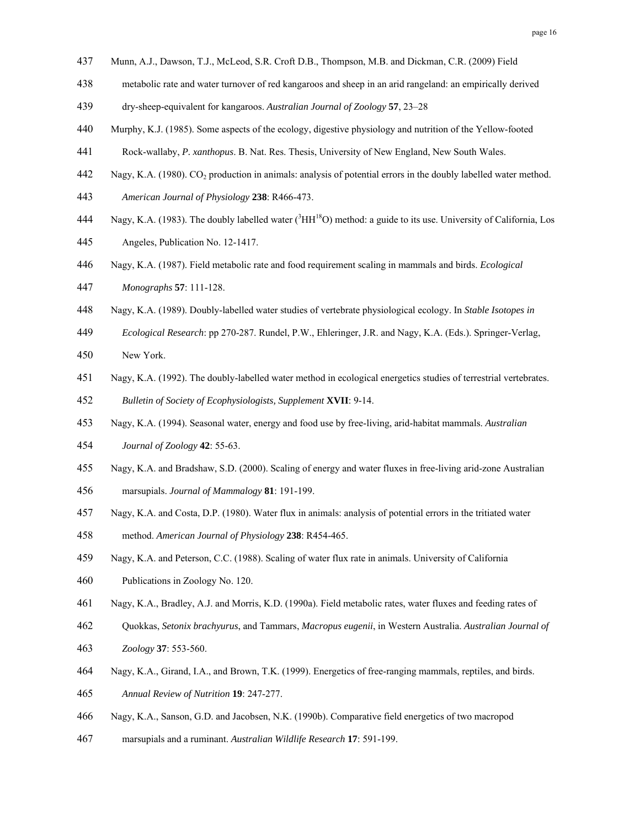- 437 Munn, A.J., Dawson, T.J., McLeod, S.R. Croft D.B., Thompson, M.B. and Dickman, C.R. (2009) Field
- 438 metabolic rate and water turnover of red kangaroos and sheep in an arid rangeland: an empirically derived
- 439 dry-sheep-equivalent for kangaroos. *Australian Journal of Zoology* **57**, 23–28
- 440 Murphy, K.J. (1985). Some aspects of the ecology, digestive physiology and nutrition of the Yellow-footed
- 441 Rock-wallaby, *P. xanthopus*. B. Nat. Res. Thesis, University of New England, New South Wales.
- 442 Nagy, K.A. (1980). CO2 production in animals: analysis of potential errors in the doubly labelled water method.
- 443 *American Journal of Physiology* **238**: R466-473.
- 444 Nagy, K.A. (1983). The doubly labelled water  $(^{3}HH^{18}O)$  method: a guide to its use. University of California, Los
- 445 Angeles, Publication No. 12-1417.
- 446 Nagy, K.A. (1987). Field metabolic rate and food requirement scaling in mammals and birds. *Ecological*
- 447 *Monographs* **57**: 111-128.
- 448 Nagy, K.A. (1989). Doubly-labelled water studies of vertebrate physiological ecology. In *Stable Isotopes in*
- 449 *Ecological Research*: pp 270-287. Rundel, P.W., Ehleringer, J.R. and Nagy, K.A. (Eds.). Springer-Verlag,
- 450 New York.
- 451 Nagy, K.A. (1992). The doubly-labelled water method in ecological energetics studies of terrestrial vertebrates.
- 452 *Bulletin of Society of Ecophysiologists, Supplement* **XVII**: 9-14.
- 453 Nagy, K.A. (1994). Seasonal water, energy and food use by free-living, arid-habitat mammals. *Australian*
- 454 *Journal of Zoology* **42**: 55-63.
- 455 Nagy, K.A. and Bradshaw, S.D. (2000). Scaling of energy and water fluxes in free-living arid-zone Australian 456 marsupials. *Journal of Mammalogy* **81**: 191-199.
- 457 Nagy, K.A. and Costa, D.P. (1980). Water flux in animals: analysis of potential errors in the tritiated water
- 458 method. *American Journal of Physiology* **238**: R454-465.
- 459 Nagy, K.A. and Peterson, C.C. (1988). Scaling of water flux rate in animals. University of California
- 460 Publications in Zoology No. 120.
- 461 Nagy, K.A., Bradley, A.J. and Morris, K.D. (1990a). Field metabolic rates, water fluxes and feeding rates of
- 462 Quokkas, *Setonix brachyurus*, and Tammars, *Macropus eugenii*, in Western Australia. *Australian Journal of*
- 463 *Zoology* **37**: 553-560.
- 464 Nagy, K.A., Girand, I.A., and Brown, T.K. (1999). Energetics of free-ranging mammals, reptiles, and birds.
- 465 *Annual Review of Nutrition* **19**: 247-277.
- 466 Nagy, K.A., Sanson, G.D. and Jacobsen, N.K. (1990b). Comparative field energetics of two macropod
- 467 marsupials and a ruminant. *Australian Wildlife Research* **17**: 591-199.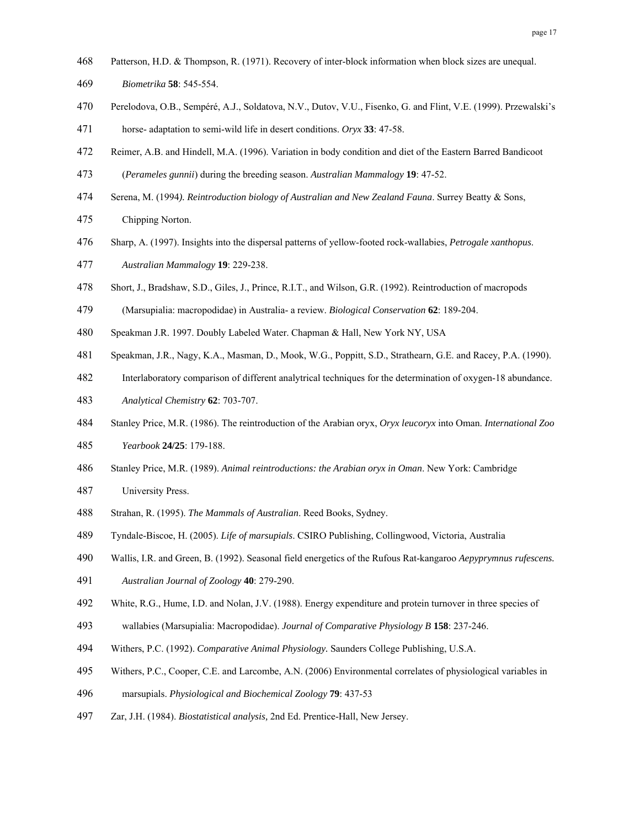- 468 Patterson, H.D. & Thompson, R. (1971). Recovery of inter-block information when block sizes are unequal.
- 469 *Biometrika* **58**: 545-554.
- 470 Perelodova, O.B., Sempéré, A.J., Soldatova, N.V., Dutov, V.U., Fisenko, G. and Flint, V.E. (1999). Przewalski's 471 horse- adaptation to semi-wild life in desert conditions. *Oryx* **33**: 47-58.
- 472 Reimer, A.B. and Hindell, M.A. (1996). Variation in body condition and diet of the Eastern Barred Bandicoot
- 473 (*Perameles gunnii*) during the breeding season. *Australian Mammalogy* **19**: 47-52.
- 474 Serena, M. (1994*). Reintroduction biology of Australian and New Zealand Fauna*. Surrey Beatty & Sons,
- 475 Chipping Norton.
- 476 Sharp, A. (1997). Insights into the dispersal patterns of yellow-footed rock-wallabies, *Petrogale xanthopus*.
- 477 *Australian Mammalogy* **19**: 229-238.
- 478 Short, J., Bradshaw, S.D., Giles, J., Prince, R.I.T., and Wilson, G.R. (1992). Reintroduction of macropods
- 479 (Marsupialia: macropodidae) in Australia- a review. *Biological Conservation* **62**: 189-204.
- 480 Speakman J.R. 1997. Doubly Labeled Water. Chapman & Hall, New York NY, USA
- 481 Speakman, J.R., Nagy, K.A., Masman, D., Mook, W.G., Poppitt, S.D., Strathearn, G.E. and Racey, P.A. (1990).
- 482 Interlaboratory comparison of different analytrical techniques for the determination of oxygen-18 abundance.
- 483 *Analytical Chemistry* **62**: 703-707.
- 484 Stanley Price, M.R. (1986). The reintroduction of the Arabian oryx, *Oryx leucoryx* into Oman. *International Zoo*
- 485 *Yearbook* **24/25**: 179-188.
- 486 Stanley Price, M.R. (1989). *Animal reintroductions: the Arabian oryx in Oman*. New York: Cambridge
- 487 University Press.
- 488 Strahan, R. (1995). *The Mammals of Australian*. Reed Books, Sydney.
- 489 Tyndale-Biscoe, H. (2005). *Life of marsupials*. CSIRO Publishing, Collingwood, Victoria, Australia
- 490 Wallis, I.R. and Green, B. (1992). Seasonal field energetics of the Rufous Rat-kangaroo *Aepyprymnus rufescens.*
- 491 *Australian Journal of Zoology* **40**: 279-290.
- 492 White, R.G., Hume, I.D. and Nolan, J.V. (1988). Energy expenditure and protein turnover in three species of
- 493 wallabies (Marsupialia: Macropodidae). *Journal of Comparative Physiology B* **158**: 237-246.
- 494 Withers, P.C. (1992). *Comparative Animal Physiology.* Saunders College Publishing, U.S.A.
- 495 Withers, P.C., Cooper, C.E. and Larcombe, A.N. (2006) Environmental correlates of physiological variables in
- 496 marsupials. *Physiological and Biochemical Zoology* **79**: 437-53
- 497 Zar, J.H. (1984). *Biostatistical analysis,* 2nd Ed. Prentice-Hall, New Jersey.